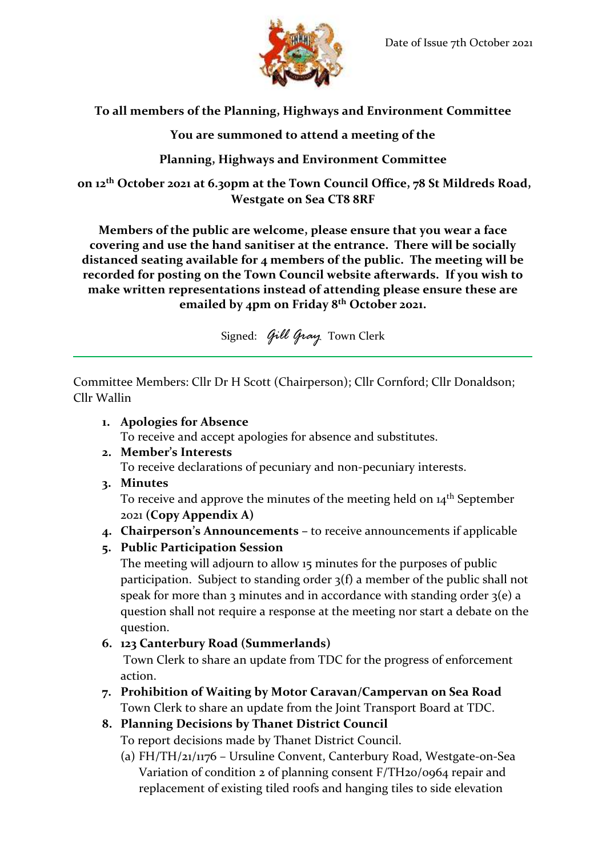

# **To all members of the Planning, Highways and Environment Committee**

## **You are summoned to attend a meeting of the**

# **Planning, Highways and Environment Committee**

**on 12 th October 2021 at 6.30pm at the Town Council Office, 78 St Mildreds Road, Westgate on Sea CT8 8RF**

**Members of the public are welcome, please ensure that you wear a face covering and use the hand sanitiser at the entrance. There will be socially distanced seating available for 4 members of the public. The meeting will be recorded for posting on the Town Council website afterwards. If you wish to make written representations instead of attending please ensure these are emailed by 4pm on Friday 8 th October 2021.**

Signed: *Gill Gray* Town Clerk

Committee Members: Cllr Dr H Scott (Chairperson); Cllr Cornford; Cllr Donaldson; Cllr Wallin

### **1. Apologies for Absence**

To receive and accept apologies for absence and substitutes.

### **2. Member's Interests**

To receive declarations of pecuniary and non-pecuniary interests.

**3. Minutes**

To receive and approve the minutes of the meeting held on 14<sup>th</sup> September 2021 **(Copy Appendix A)**

**4. Chairperson's Announcements –** to receive announcements if applicable

### **5. Public Participation Session**

The meeting will adjourn to allow 15 minutes for the purposes of public participation. Subject to standing order 3(f) a member of the public shall not speak for more than 3 minutes and in accordance with standing order  $3(e)$  a question shall not require a response at the meeting nor start a debate on the question.

**6. 123 Canterbury Road (Summerlands)**

Town Clerk to share an update from TDC for the progress of enforcement action.

- **7. Prohibition of Waiting by Motor Caravan/Campervan on Sea Road** Town Clerk to share an update from the Joint Transport Board at TDC.
- **8. Planning Decisions by Thanet District Council**

To report decisions made by Thanet District Council.

(a) FH/TH/21/1176 – Ursuline Convent, Canterbury Road, Westgate-on-Sea Variation of condition 2 of planning consent F/TH20/0964 repair and replacement of existing tiled roofs and hanging tiles to side elevation